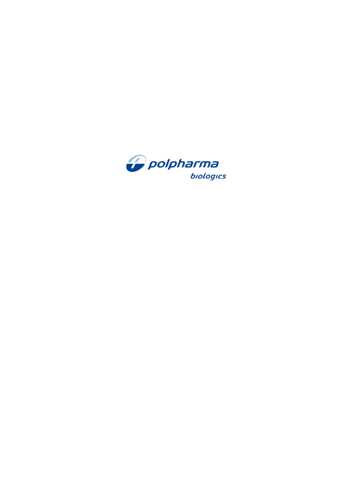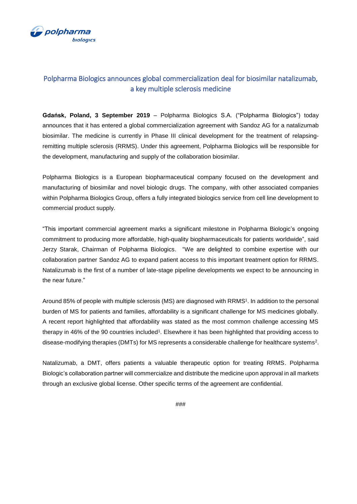

## Polpharma Biologics announces global commercialization deal for biosimilar natalizumab, a key multiple sclerosis medicine

**Gdańsk, Poland, 3 September 2019** – Polpharma Biologics S.A. ("Polpharma Biologics") today announces that it has entered a global commercialization agreement with Sandoz AG for a natalizumab biosimilar. The medicine is currently in Phase III clinical development for the treatment of relapsingremitting multiple sclerosis (RRMS). Under this agreement, Polpharma Biologics will be responsible for the development, manufacturing and supply of the collaboration biosimilar.

Polpharma Biologics is a European biopharmaceutical company focused on the development and manufacturing of biosimilar and novel biologic drugs. The company, with other associated companies within Polpharma Biologics Group, offers a fully integrated biologics service from cell line development to commercial product supply.

"This important commercial agreement marks a significant milestone in Polpharma Biologic's ongoing commitment to producing more affordable, high-quality biopharmaceuticals for patients worldwide", said Jerzy Starak, Chairman of Polpharma Biologics. "We are delighted to combine expertise with our collaboration partner Sandoz AG to expand patient access to this important treatment option for RRMS. Natalizumab is the first of a number of late-stage pipeline developments we expect to be announcing in the near future."

Around 85% of people with multiple sclerosis (MS) are diagnosed with RRMS<sup>1</sup> . In addition to the personal burden of MS for patients and families, affordability is a significant challenge for MS medicines globally. A recent report highlighted that affordability was stated as the most common challenge accessing MS therapy in 46% of the 90 countries included<sup>1</sup>. Elsewhere it has been highlighted that providing access to disease-modifying therapies (DMTs) for MS represents a considerable challenge for healthcare systems<sup>2</sup>.

Natalizumab, a DMT, offers patients a valuable therapeutic option for treating RRMS. Polpharma Biologic's collaboration partner will commercialize and distribute the medicine upon approval in all markets through an exclusive global license. Other specific terms of the agreement are confidential.

###